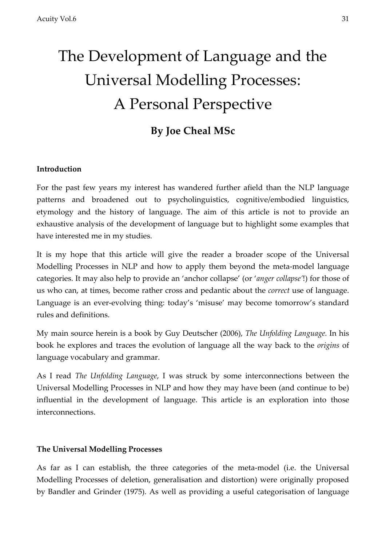# The Development of Language and the Universal Modelling Processes: A Personal Perspective

# **By Joe Cheal MSc**

# **Introduction**

For the past few years my interest has wandered further afield than the NLP language patterns and broadened out to psycholinguistics, cognitive/embodied linguistics, etymology and the history of language. The aim of this article is not to provide an exhaustive analysis of the development of language but to highlight some examples that have interested me in my studies.

It is my hope that this article will give the reader a broader scope of the Universal Modelling Processes in NLP and how to apply them beyond the meta-model language categories. It may also help to provide an 'anchor collapse' (or '*anger collapse'*!) for those of us who can, at times, become rather cross and pedantic about the *correct* use of language. Language is an ever-evolving thing: today's 'misuse' may become tomorrow's standard rules and definitions.

My main source herein is a book by Guy Deutscher (2006), *The Unfolding Language.* In his book he explores and traces the evolution of language all the way back to the *origins* of language vocabulary and grammar.

As I read *The Unfolding Language*, I was struck by some interconnections between the Universal Modelling Processes in NLP and how they may have been (and continue to be) influential in the development of language. This article is an exploration into those interconnections.

## **The Universal Modelling Processes**

As far as I can establish, the three categories of the meta-model (i.e. the Universal Modelling Processes of deletion, generalisation and distortion) were originally proposed by Bandler and Grinder (1975). As well as providing a useful categorisation of language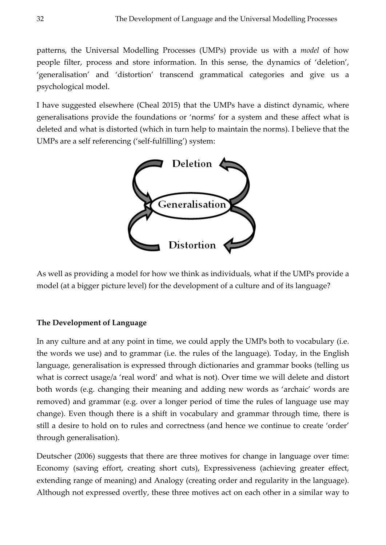patterns, the Universal Modelling Processes (UMPs) provide us with a *model* of how people filter, process and store information. In this sense, the dynamics of 'deletion', 'generalisation' and 'distortion' transcend grammatical categories and give us a psychological model.

I have suggested elsewhere (Cheal 2015) that the UMPs have a distinct dynamic, where generalisations provide the foundations or 'norms' for a system and these affect what is deleted and what is distorted (which in turn help to maintain the norms). I believe that the UMPs are a self referencing ('self-fulfilling') system:



As well as providing a model for how we think as individuals, what if the UMPs provide a model (at a bigger picture level) for the development of a culture and of its language?

# **The Development of Language**

In any culture and at any point in time, we could apply the UMPs both to vocabulary (i.e. the words we use) and to grammar (i.e. the rules of the language). Today, in the English language, generalisation is expressed through dictionaries and grammar books (telling us what is correct usage/a 'real word' and what is not). Over time we will delete and distort both words (e.g. changing their meaning and adding new words as 'archaic' words are removed) and grammar (e.g. over a longer period of time the rules of language use may change). Even though there is a shift in vocabulary and grammar through time, there is still a desire to hold on to rules and correctness (and hence we continue to create 'order' through generalisation).

Deutscher (2006) suggests that there are three motives for change in language over time: Economy (saving effort, creating short cuts), Expressiveness (achieving greater effect, extending range of meaning) and Analogy (creating order and regularity in the language). Although not expressed overtly, these three motives act on each other in a similar way to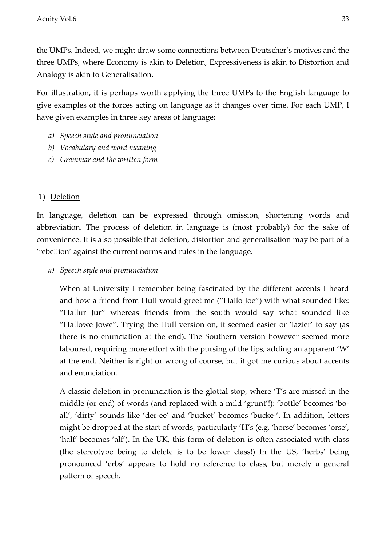the UMPs. Indeed, we might draw some connections between Deutscher's motives and the three UMPs, where Economy is akin to Deletion, Expressiveness is akin to Distortion and Analogy is akin to Generalisation.

For illustration, it is perhaps worth applying the three UMPs to the English language to give examples of the forces acting on language as it changes over time. For each UMP, I have given examples in three key areas of language:

- *a) Speech style and pronunciation*
- *b) Vocabulary and word meaning*
- *c) Grammar and the written form*

# 1) Deletion

In language, deletion can be expressed through omission, shortening words and abbreviation. The process of deletion in language is (most probably) for the sake of convenience. It is also possible that deletion, distortion and generalisation may be part of a 'rebellion' against the current norms and rules in the language.

*a) Speech style and pronunciation*

When at University I remember being fascinated by the different accents I heard and how a friend from Hull would greet me ("Hallo Joe") with what sounded like: "Hallur Jur" whereas friends from the south would say what sounded like "Hallowe Jowe". Trying the Hull version on, it seemed easier or 'lazier' to say (as there is no enunciation at the end). The Southern version however seemed more laboured, requiring more effort with the pursing of the lips, adding an apparent 'W' at the end. Neither is right or wrong of course, but it got me curious about accents and enunciation.

A classic deletion in pronunciation is the glottal stop, where 'T's are missed in the middle (or end) of words (and replaced with a mild 'grunt'!): 'bottle' becomes 'boall', 'dirty' sounds like 'der-ee' and 'bucket' becomes 'bucke-'. In addition, letters might be dropped at the start of words, particularly 'H's (e.g. 'horse' becomes 'orse', 'half' becomes 'alf'). In the UK, this form of deletion is often associated with class (the stereotype being to delete is to be lower class!) In the US, 'herbs' being pronounced 'erbs' appears to hold no reference to class, but merely a general pattern of speech.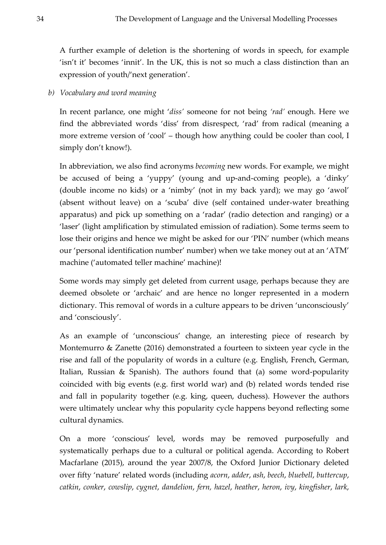A further example of deletion is the shortening of words in speech, for example 'isn't it' becomes 'innit'. In the UK, this is not so much a class distinction than an expression of youth/'next generation'.

*b) Vocabulary and word meaning*

In recent parlance, one might '*diss'* someone for not being *'rad'* enough. Here we find the abbreviated words 'diss' from disrespect, 'rad' from radical (meaning a more extreme version of 'cool' – though how anything could be cooler than cool, I simply don't know!).

In abbreviation, we also find acronyms *becoming* new words. For example, we might be accused of being a 'yuppy' (young and up-and-coming people), a 'dinky' (double income no kids) or a 'nimby' (not in my back yard); we may go 'awol' (absent without leave) on a 'scuba' dive (self contained under-water breathing apparatus) and pick up something on a 'radar' (radio detection and ranging) or a 'laser' (light amplification by stimulated emission of radiation). Some terms seem to lose their origins and hence we might be asked for our 'PIN' number (which means our 'personal identification number' number) when we take money out at an 'ATM' machine ('automated teller machine' machine)!

Some words may simply get deleted from current usage, perhaps because they are deemed obsolete or 'archaic' and are hence no longer represented in a modern dictionary. This removal of words in a culture appears to be driven 'unconsciously' and 'consciously'.

As an example of 'unconscious' change, an interesting piece of research by Montemurro & Zanette (2016) demonstrated a fourteen to sixteen year cycle in the rise and fall of the popularity of words in a culture (e.g. English, French, German, Italian, Russian & Spanish). The authors found that (a) some word-popularity coincided with big events (e.g. first world war) and (b) related words tended rise and fall in popularity together (e.g. king, queen, duchess). However the authors were ultimately unclear why this popularity cycle happens beyond reflecting some cultural dynamics.

On a more 'conscious' level, words may be removed purposefully and systematically perhaps due to a cultural or political agenda. According to Robert Macfarlane (2015), around the year 2007/8, the Oxford Junior Dictionary deleted over fifty 'nature' related words (including *acorn*, *adder*, *ash*, *beech*, *bluebell*, *buttercup*, *catkin*, *conker*, *cowslip*, *cygnet*, *dandelion*, *fern, hazel*, *heather*, *heron*, *ivy*, *kingfisher*, *lark*,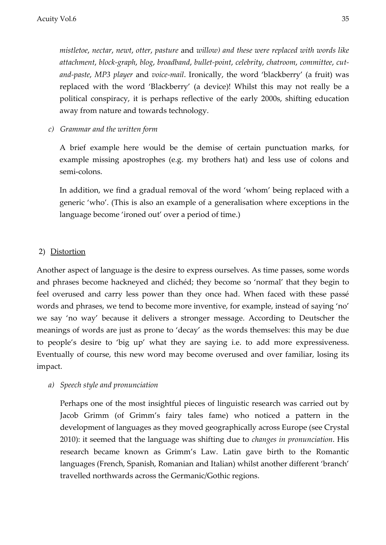*mistletoe*, *nectar*, *newt*, *otter*, *pasture* and *willow) and these were replaced with words like attachment*, *block-graph*, *blog*, *broadband*, *bullet-point*, *celebrity*, *chatroom*, *committee*, *cutand-paste*, *MP3 player* and *voice-mail*. Ironically, the word 'blackberry' (a fruit) was replaced with the word 'Blackberry' (a device)! Whilst this may not really be a political conspiracy, it is perhaps reflective of the early 2000s, shifting education away from nature and towards technology.

*c) Grammar and the written form*

A brief example here would be the demise of certain punctuation marks, for example missing apostrophes (e.g. my brothers hat) and less use of colons and semi-colons.

In addition, we find a gradual removal of the word 'whom' being replaced with a generic 'who'. (This is also an example of a generalisation where exceptions in the language become 'ironed out' over a period of time.)

#### 2) Distortion

Another aspect of language is the desire to express ourselves. As time passes, some words and phrases become hackneyed and clichéd; they become so 'normal' that they begin to feel overused and carry less power than they once had. When faced with these passé words and phrases, we tend to become more inventive, for example, instead of saying 'no' we say 'no way' because it delivers a stronger message. According to Deutscher the meanings of words are just as prone to 'decay' as the words themselves: this may be due to people's desire to 'big up' what they are saying i.e. to add more expressiveness. Eventually of course, this new word may become overused and over familiar, losing its impact.

#### *a) Speech style and pronunciation*

Perhaps one of the most insightful pieces of linguistic research was carried out by Jacob Grimm (of Grimm's fairy tales fame) who noticed a pattern in the development of languages as they moved geographically across Europe (see Crystal 2010): it seemed that the language was shifting due to *changes in pronunciation*. His research became known as Grimm's Law. Latin gave birth to the Romantic languages (French, Spanish, Romanian and Italian) whilst another different 'branch' travelled northwards across the Germanic/Gothic regions.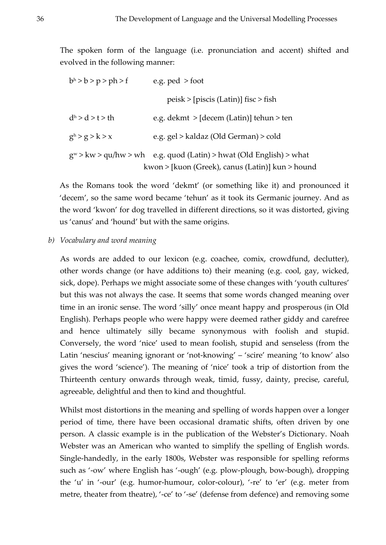The spoken form of the language (i.e. pronunciation and accent) shifted and evolved in the following manner:

| b <sup>h</sup> > b > p > ph > f | e.g. $ped > foot$                                                                                                         |
|---------------------------------|---------------------------------------------------------------------------------------------------------------------------|
|                                 | $peisk$ > [piscis (Latin)] fisc > fish                                                                                    |
| d <sup>h</sup> > d > t > th     | e.g. $d$ ekmt > [decem (Latin)] tehun > ten                                                                               |
| g <sup>h</sup> > g > k > x      | e.g. gel > kaldaz (Old German) > cold                                                                                     |
|                                 | $g^w > kw > qu/hw > wh$ e.g. quod (Latin) > hwat (Old English) > what<br>kwon > [kuon (Greek), canus (Latin)] kun > hound |

As the Romans took the word 'dekmt' (or something like it) and pronounced it 'decem', so the same word became 'tehun' as it took its Germanic journey. And as the word 'kwon' for dog travelled in different directions, so it was distorted, giving us 'canus' and 'hound' but with the same origins.

#### *b) Vocabulary and word meaning*

As words are added to our lexicon (e.g. coachee, comix, crowdfund, declutter), other words change (or have additions to) their meaning (e.g. cool, gay, wicked, sick, dope). Perhaps we might associate some of these changes with 'youth cultures' but this was not always the case. It seems that some words changed meaning over time in an ironic sense. The word 'silly' once meant happy and prosperous (in Old English). Perhaps people who were happy were deemed rather giddy and carefree and hence ultimately silly became synonymous with foolish and stupid. Conversely, the word 'nice' used to mean foolish, stupid and senseless (from the Latin 'nescius' meaning ignorant or 'not-knowing' – 'scire' meaning 'to know' also gives the word 'science'). The meaning of 'nice' took a trip of distortion from the Thirteenth century onwards through weak, timid, fussy, dainty, precise, careful, agreeable, delightful and then to kind and thoughtful.

Whilst most distortions in the meaning and spelling of words happen over a longer period of time, there have been occasional dramatic shifts, often driven by one person. A classic example is in the publication of the Webster's Dictionary. Noah Webster was an American who wanted to simplify the spelling of English words. Single-handedly, in the early 1800s, Webster was responsible for spelling reforms such as '-ow' where English has '-ough' (e.g. plow-plough, bow-bough), dropping the 'u' in '-our' (e.g. humor-humour, color-colour), '-re' to 'er' (e.g. meter from metre, theater from theatre), '-ce' to '-se' (defense from defence) and removing some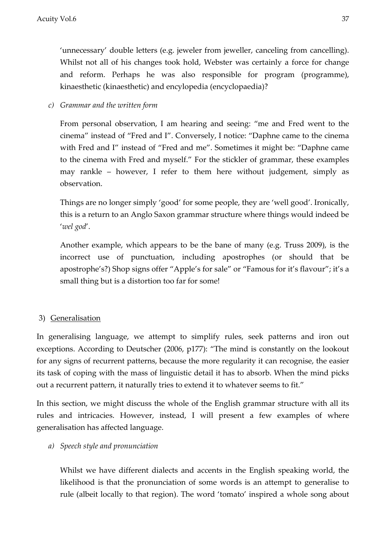'unnecessary' double letters (e.g. jeweler from jeweller, canceling from cancelling). Whilst not all of his changes took hold, Webster was certainly a force for change and reform. Perhaps he was also responsible for program (programme), kinaesthetic (kinaesthetic) and encylopedia (encyclopaedia)?

*c) Grammar and the written form*

From personal observation, I am hearing and seeing: "me and Fred went to the cinema" instead of "Fred and I". Conversely, I notice: "Daphne came to the cinema with Fred and I" instead of "Fred and me". Sometimes it might be: "Daphne came to the cinema with Fred and myself." For the stickler of grammar, these examples may rankle – however, I refer to them here without judgement, simply as observation.

Things are no longer simply 'good' for some people, they are 'well good'. Ironically, this is a return to an Anglo Saxon grammar structure where things would indeed be '*wel god*'.

Another example, which appears to be the bane of many (e.g. Truss 2009), is the incorrect use of punctuation, including apostrophes (or should that be apostrophe's?) Shop signs offer "Apple's for sale" or "Famous for it's flavour"; it's a small thing but is a distortion too far for some!

## 3) Generalisation

In generalising language, we attempt to simplify rules, seek patterns and iron out exceptions. According to Deutscher (2006, p177): "The mind is constantly on the lookout for any signs of recurrent patterns, because the more regularity it can recognise, the easier its task of coping with the mass of linguistic detail it has to absorb. When the mind picks out a recurrent pattern, it naturally tries to extend it to whatever seems to fit."

In this section, we might discuss the whole of the English grammar structure with all its rules and intricacies. However, instead, I will present a few examples of where generalisation has affected language.

#### *a) Speech style and pronunciation*

Whilst we have different dialects and accents in the English speaking world, the likelihood is that the pronunciation of some words is an attempt to generalise to rule (albeit locally to that region). The word 'tomato' inspired a whole song about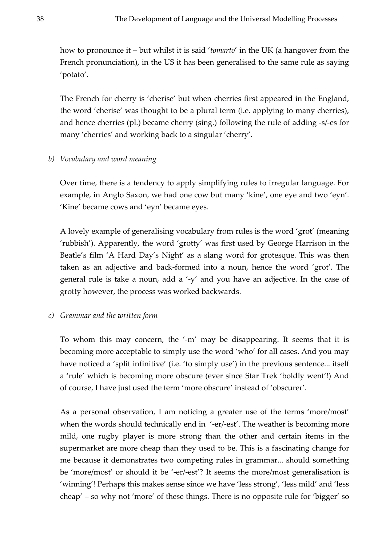how to pronounce it – but whilst it is said '*tomarto*' in the UK (a hangover from the French pronunciation), in the US it has been generalised to the same rule as saying 'potato'.

The French for cherry is 'cherise' but when cherries first appeared in the England, the word 'cherise' was thought to be a plural term (i.e. applying to many cherries), and hence cherries (pl.) became cherry (sing.) following the rule of adding -s/-es for many 'cherries' and working back to a singular 'cherry'.

#### *b) Vocabulary and word meaning*

Over time, there is a tendency to apply simplifying rules to irregular language. For example, in Anglo Saxon, we had one cow but many 'kine', one eye and two 'eyn'. 'Kine' became cows and 'eyn' became eyes.

A lovely example of generalising vocabulary from rules is the word 'grot' (meaning 'rubbish'). Apparently, the word 'grotty' was first used by George Harrison in the Beatle's film 'A Hard Day's Night' as a slang word for grotesque. This was then taken as an adjective and back-formed into a noun, hence the word 'grot'. The general rule is take a noun, add a '-y' and you have an adjective. In the case of grotty however, the process was worked backwards.

#### *c) Grammar and the written form*

To whom this may concern, the '-m' may be disappearing. It seems that it is becoming more acceptable to simply use the word 'who' for all cases. And you may have noticed a 'split infinitive' (i.e. 'to simply use') in the previous sentence... itself a 'rule' which is becoming more obscure (ever since Star Trek 'boldly went'!) And of course, I have just used the term 'more obscure' instead of 'obscurer'.

As a personal observation, I am noticing a greater use of the terms 'more/most' when the words should technically end in '-er/-est'. The weather is becoming more mild, one rugby player is more strong than the other and certain items in the supermarket are more cheap than they used to be. This is a fascinating change for me because it demonstrates two competing rules in grammar... should something be 'more/most' or should it be '-er/-est'? It seems the more/most generalisation is 'winning'! Perhaps this makes sense since we have 'less strong', 'less mild' and 'less cheap' – so why not 'more' of these things. There is no opposite rule for 'bigger' so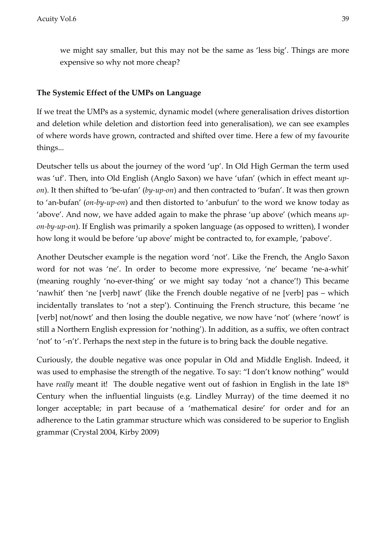we might say smaller, but this may not be the same as 'less big'. Things are more expensive so why not more cheap?

#### **The Systemic Effect of the UMPs on Language**

If we treat the UMPs as a systemic, dynamic model (where generalisation drives distortion and deletion while deletion and distortion feed into generalisation), we can see examples of where words have grown, contracted and shifted over time. Here a few of my favourite things...

Deutscher tells us about the journey of the word 'up'. In Old High German the term used was 'uf'. Then, into Old English (Anglo Saxon) we have 'ufan' (which in effect meant *upon*). It then shifted to 'be-ufan' (*by-up-on*) and then contracted to 'bufan'. It was then grown to 'an-bufan' (*on-by-up-on*) and then distorted to 'anbufun' to the word we know today as 'above'. And now, we have added again to make the phrase 'up above' (which means *upon-by-up-on*). If English was primarily a spoken language (as opposed to written), I wonder how long it would be before 'up above' might be contracted to, for example, 'pabove'.

Another Deutscher example is the negation word 'not'. Like the French, the Anglo Saxon word for not was 'ne'. In order to become more expressive, 'ne' became 'ne-a-whit' (meaning roughly 'no-ever-thing' or we might say today 'not a chance'!) This became 'nawhit' then 'ne [verb] nawt' (like the French double negative of ne [verb] pas – which incidentally translates to 'not a step'). Continuing the French structure, this became 'ne [verb] not/nowt' and then losing the double negative, we now have 'not' (where 'nowt' is still a Northern English expression for 'nothing'). In addition, as a suffix, we often contract 'not' to '-n't'. Perhaps the next step in the future is to bring back the double negative.

Curiously, the double negative was once popular in Old and Middle English. Indeed, it was used to emphasise the strength of the negative. To say: "I don't know nothing" would have *really* meant it! The double negative went out of fashion in English in the late 18<sup>th</sup> Century when the influential linguists (e.g. Lindley Murray) of the time deemed it no longer acceptable; in part because of a 'mathematical desire' for order and for an adherence to the Latin grammar structure which was considered to be superior to English grammar (Crystal 2004, Kirby 2009)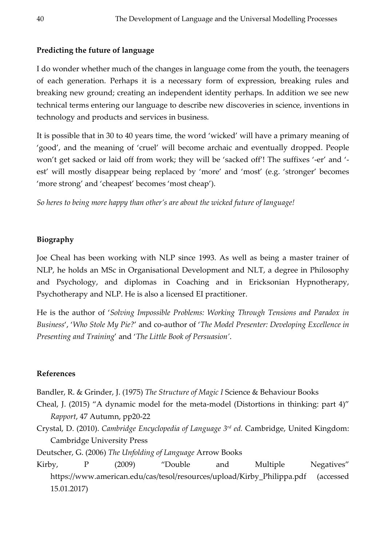# **Predicting the future of language**

I do wonder whether much of the changes in language come from the youth, the teenagers of each generation. Perhaps it is a necessary form of expression, breaking rules and breaking new ground; creating an independent identity perhaps. In addition we see new technical terms entering our language to describe new discoveries in science, inventions in technology and products and services in business.

It is possible that in 30 to 40 years time, the word 'wicked' will have a primary meaning of 'good', and the meaning of 'cruel' will become archaic and eventually dropped. People won't get sacked or laid off from work; they will be 'sacked off'! The suffixes '-er' and ' est' will mostly disappear being replaced by 'more' and 'most' (e.g. 'stronger' becomes 'more strong' and 'cheapest' becomes 'most cheap').

*So heres to being more happy than other's are about the wicked future of language!*

# **Biography**

Joe Cheal has been working with NLP since 1993. As well as being a master trainer of NLP, he holds an MSc in Organisational Development and NLT, a degree in Philosophy and Psychology, and diplomas in Coaching and in Ericksonian Hypnotherapy, Psychotherapy and NLP. He is also a licensed EI practitioner.

He is the author of '*Solving Impossible Problems: Working Through Tensions and Paradox in Business*', '*Who Stole My Pie?*' and co-author of '*The Model Presenter: Developing Excellence in Presenting and Training*' and '*The Little Book of Persuasion'*.

## **References**

Bandler, R. & Grinder, J. (1975) *The Structure of Magic I* Science & Behaviour Books

- Cheal, J. (2015) "A dynamic model for the meta-model (Distortions in thinking: part 4)" *Rapport*, 47 Autumn, pp20-22
- Crystal, D. (2010). *Cambridge Encyclopedia of Language 3rd ed.* Cambridge, United Kingdom: Cambridge University Press

Deutscher, G. (2006) *The Unfolding of Language* Arrow Books

Kirby, P (2009) "Double and Multiple Negatives" https://www.american.edu/cas/tesol/resources/upload/Kirby\_Philippa.pdf (accessed 15.01.2017)